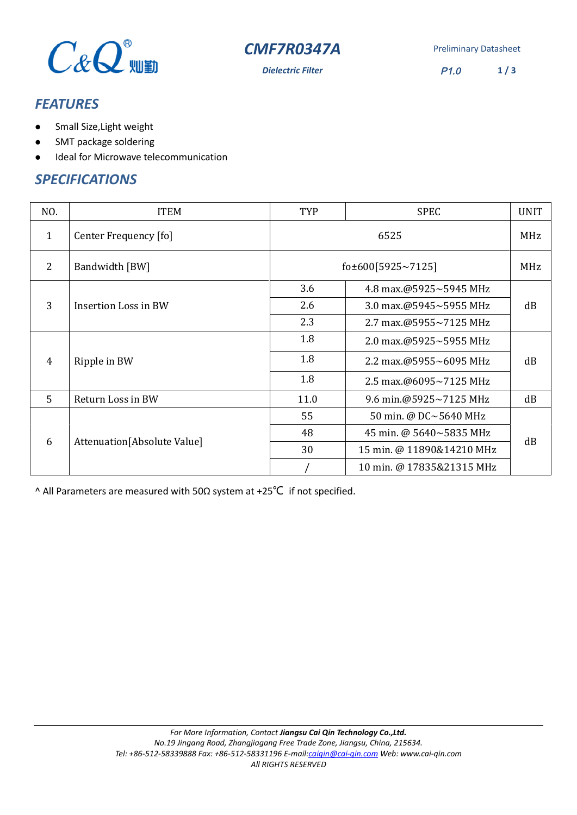

**CMF7R0347A** Preliminary Datasheet

*Dielectric Filter* P1.0 **1 / 3**

# *FEATURES*

- Small Size,Light weight
- SMT package soldering
- Ideal for Microwave telecommunication

#### *SPECIFICATIONS*

| NO. | <b>ITEM</b>                  | <b>TYP</b>              | <b>SPEC</b>                    | <b>UNIT</b> |
|-----|------------------------------|-------------------------|--------------------------------|-------------|
| 1   | Center Frequency [fo]        | 6525                    |                                | MHz         |
| 2   | Bandwidth [BW]               | fo $\pm$ 600[5925~7125] |                                | MHz         |
| 3   | Insertion Loss in BW         | 3.6                     | 4.8 max.@5925~5945 MHz         | dB          |
|     |                              | 2.6                     | 3.0 max.@5945~5955 MHz         |             |
|     |                              | 2.3                     | 2.7 max.@5955~7125 MHz         |             |
| 4   | Ripple in BW                 | 1.8                     | 2.0 max.@5925~5955 MHz         | dB          |
|     |                              | 1.8                     | 2.2 max.@5955~6095 MHz         |             |
|     |                              | 1.8                     | 2.5 max. $@6095 \sim 7125$ MHz |             |
| 5   | Return Loss in BW            | 11.0                    | 9.6 min.@5925~7125 MHz         | dB          |
| 6   | Attenuation [Absolute Value] | 55                      | 50 min. @ DC~5640 MHz          | dB          |
|     |                              | 48                      | 45 min. @ 5640~5835 MHz        |             |
|     |                              | 30                      | 15 min. @ 11890&14210 MHz      |             |
|     |                              |                         | 10 min. @ 17835&21315 MHz      |             |

^ All Parameters are measured with 50Ω system at +25℃ if not specified.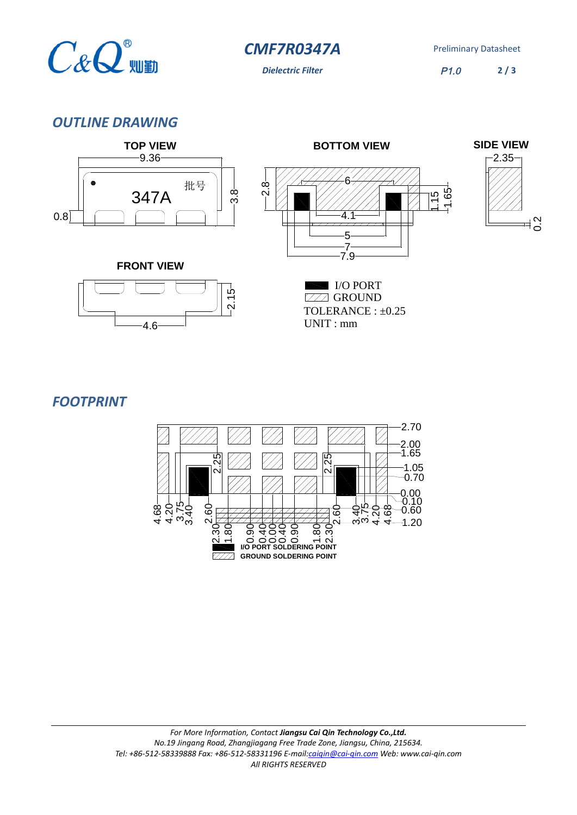

**CMF7R0347A** Preliminary Datasheet

**Dielectric Filter** P1.0

**2 / 3**

 $\frac{1}{20}$ 

### *OUTLINE DRAWING*



 $-2.15 -$ 

**ZZZ GROUND** TOLERANCE : ±0.25 UNIT : mm I/O PORT



4.6